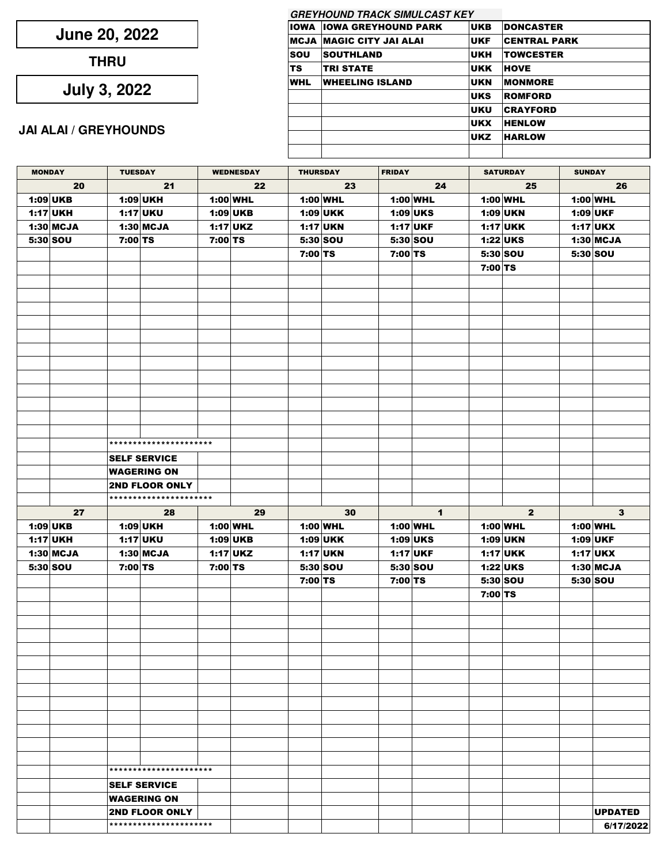| June 20, 2022 |  |  |
|---------------|--|--|
|---------------|--|--|

**THRU**

**July 3, 2022**

## **JAI ALAI / GREYHOUNDS**

|      | <b>GREYHOUND TRACK SIMULCAST KEY</b> |            |                     |
|------|--------------------------------------|------------|---------------------|
| IOWA | <b>IOWA GREYHOUND PARK</b>           | <b>UKB</b> | <b>DONCASTER</b>    |
|      | MCJA  MAGIC CITY JAI ALAI            | <b>UKF</b> | <b>CENTRAL PARK</b> |
| sou  | <b>SOUTHLAND</b>                     | <b>UKH</b> | <b>TOWCESTER</b>    |
| TS   | <b>TRI STATE</b>                     | <b>UKK</b> | <b>HOVE</b>         |
| WHL  | <b>WHEELING ISLAND</b>               | <b>UKN</b> | <b>MONMORE</b>      |
|      |                                      | <b>UKS</b> | <b>ROMFORD</b>      |
|      |                                      | <b>UKU</b> | <b>CRAYFORD</b>     |
|      |                                      | <b>UKX</b> | <b>HENLOW</b>       |
|      |                                      | <b>UKZ</b> | <b>HARLOW</b>       |
|      |                                      |            |                     |

| <b>MONDAY</b> |             | <b>TUESDAY</b> |                                                 | <b>WEDNESDAY</b> |            | <b>THURSDAY</b> |            | <b>FRIDAY</b> |              | <b>SATURDAY</b> |                | <b>SUNDAY</b> |                             |
|---------------|-------------|----------------|-------------------------------------------------|------------------|------------|-----------------|------------|---------------|--------------|-----------------|----------------|---------------|-----------------------------|
| 20            |             | 21             |                                                 | 22               |            | 23              |            | 24            |              | 25              |                | 26            |                             |
|               | $1:09$ UKB  |                | 1:09 UKH                                        |                  | 1:00 WHL   |                 | $1:00$ WHL |               | 1:00 WHL     |                 | 1:00 WHL       |               | $1:00$ WHL                  |
|               | $1:17$ UKH  |                | $1:17$ UKU                                      |                  | $1:09$ UKB |                 | $1:09$ UKK |               | $1:09$ UKS   |                 | 1:09 UKN       |               | 1:09 UKF                    |
|               | $1:30$ MCJA |                | $1:30$ MCJA                                     |                  | $1:17$ UKZ |                 | $1:17$ UKN |               | $1:17$ UKF   |                 | $1:17$ UKK     |               | <b>1:17 UKX</b>             |
|               | 5:30 SOU    | 7:00 TS        |                                                 | 7:00 TS          |            |                 | 5:30 SOU   |               | 5:30 SOU     |                 | $1:22$ UKS     |               | $1:30$ MCJA                 |
|               |             |                |                                                 |                  |            | 7:00 TS         |            | 7:00 TS       |              |                 | 5:30 SOU       |               | 5:30 SOU                    |
|               |             |                |                                                 |                  |            |                 |            |               |              | 7:00 TS         |                |               |                             |
|               |             |                |                                                 |                  |            |                 |            |               |              |                 |                |               |                             |
|               |             |                |                                                 |                  |            |                 |            |               |              |                 |                |               |                             |
|               |             |                |                                                 |                  |            |                 |            |               |              |                 |                |               |                             |
|               |             |                |                                                 |                  |            |                 |            |               |              |                 |                |               |                             |
|               |             |                |                                                 |                  |            |                 |            |               |              |                 |                |               |                             |
|               |             |                |                                                 |                  |            |                 |            |               |              |                 |                |               |                             |
|               |             |                |                                                 |                  |            |                 |            |               |              |                 |                |               |                             |
|               |             |                |                                                 |                  |            |                 |            |               |              |                 |                |               |                             |
|               |             |                |                                                 |                  |            |                 |            |               |              |                 |                |               |                             |
|               |             |                |                                                 |                  |            |                 |            |               |              |                 |                |               |                             |
|               |             |                |                                                 |                  |            |                 |            |               |              |                 |                |               |                             |
|               |             |                |                                                 |                  |            |                 |            |               |              |                 |                |               |                             |
|               |             |                |                                                 |                  |            |                 |            |               |              |                 |                |               |                             |
|               |             |                | **********************                          |                  |            |                 |            |               |              |                 |                |               |                             |
|               |             |                | <b>SELF SERVICE</b>                             |                  |            |                 |            |               |              |                 |                |               |                             |
|               |             |                | <b>WAGERING ON</b>                              |                  |            |                 |            |               |              |                 |                |               |                             |
|               |             |                | <b>2ND FLOOR ONLY</b>                           |                  |            |                 |            |               |              |                 |                |               |                             |
|               |             |                | **********************                          |                  |            |                 |            |               |              |                 |                |               |                             |
|               |             |                |                                                 |                  |            |                 |            |               |              |                 |                |               |                             |
|               | 27          |                | 28                                              |                  | 29         |                 | 30         |               | $\mathbf{1}$ |                 | $\overline{2}$ |               | 3 <sup>1</sup>              |
|               | $1:09$ UKB  |                | 1:09 UKH                                        |                  | 1:00 WHL   |                 | 1:00 WHL   |               | 1:00 WHL     |                 | 1:00 WHL       |               | $1:00$ WHL                  |
|               | 1:17 UKH    |                | $1:17$ UKU                                      |                  | 1:09 UKB   |                 | $1:09$ UKK |               | $1:09$ UKS   |                 | 1:09 UKN       |               | <b>1:09 UKF</b>             |
|               | $1:30$ MCJA |                | $1:30$ MCJA                                     |                  | $1:17$ UKZ |                 | $1:17$ UKN |               | $1:17$ UKF   |                 | $1:17$ UKK     |               | $1:17$ UKX                  |
|               | 5:30 SOU    | 7:00 TS        |                                                 | 7:00 TS          |            |                 | 5:30 SOU   |               | 5:30 SOU     |                 | 1:22 UKS       |               | $1:30$ MCJA                 |
|               |             |                |                                                 |                  |            | 7:00 TS         |            | 7:00 TS       |              |                 | 5:30 SOU       |               | 5:30 SOU                    |
|               |             |                |                                                 |                  |            |                 |            |               |              | 7:00 TS         |                |               |                             |
|               |             |                |                                                 |                  |            |                 |            |               |              |                 |                |               |                             |
|               |             |                |                                                 |                  |            |                 |            |               |              |                 |                |               |                             |
|               |             |                |                                                 |                  |            |                 |            |               |              |                 |                |               |                             |
|               |             |                |                                                 |                  |            |                 |            |               |              |                 |                |               |                             |
|               |             |                |                                                 |                  |            |                 |            |               |              |                 |                |               |                             |
|               |             |                |                                                 |                  |            |                 |            |               |              |                 |                |               |                             |
|               |             |                |                                                 |                  |            |                 |            |               |              |                 |                |               |                             |
|               |             |                |                                                 |                  |            |                 |            |               |              |                 |                |               |                             |
|               |             |                |                                                 |                  |            |                 |            |               |              |                 |                |               |                             |
|               |             |                |                                                 |                  |            |                 |            |               |              |                 |                |               |                             |
|               |             |                |                                                 |                  |            |                 |            |               |              |                 |                |               |                             |
|               |             |                |                                                 |                  |            |                 |            |               |              |                 |                |               |                             |
|               |             |                |                                                 |                  |            |                 |            |               |              |                 |                |               |                             |
|               |             |                | **********************                          |                  |            |                 |            |               |              |                 |                |               |                             |
|               |             |                | <b>SELF SERVICE</b>                             |                  |            |                 |            |               |              |                 |                |               |                             |
|               |             |                | <b>WAGERING ON</b>                              |                  |            |                 |            |               |              |                 |                |               |                             |
|               |             |                | <b>2ND FLOOR ONLY</b><br>********************** |                  |            |                 |            |               |              |                 |                |               | <b>UPDATED</b><br>6/17/2022 |